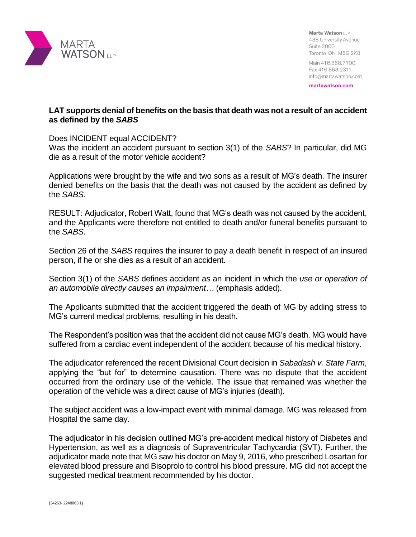

Marta Watson LLP 438 University Avenue **Suite 2000** Toronto ON M5G 2K8

Main 416.868.7700 Fax 416.868.2311 info@martawatson.com

martawatson.com

## **LAT supports denial of benefits on the basis that death was not a result of an accident as defined by the** *SABS*

## Does INCIDENT equal ACCIDENT?

Was the incident an accident pursuant to section 3(1) of the *SABS*? In particular, did MG die as a result of the motor vehicle accident?

Applications were brought by the wife and two sons as a result of MG's death. The insurer denied benefits on the basis that the death was not caused by the accident as defined by the *SABS.* 

RESULT: Adjudicator, Robert Watt, found that MG's death was not caused by the accident, and the Applicants were therefore not entitled to death and/or funeral benefits pursuant to the *SABS*.

Section 26 of the *SABS* requires the insurer to pay a death benefit in respect of an insured person, if he or she dies as a result of an accident.

Section 3(1) of the *SABS* defines accident as an incident in which the *use or operation of an automobile directly causes an impairment…* (emphasis added).

The Applicants submitted that the accident triggered the death of MG by adding stress to MG's current medical problems, resulting in his death.

The Respondent's position was that the accident did not cause MG's death. MG would have suffered from a cardiac event independent of the accident because of his medical history.

The adjudicator referenced the recent Divisional Court decision in *Sabadash v. State Farm*, applying the "but for" to determine causation. There was no dispute that the accident occurred from the ordinary use of the vehicle. The issue that remained was whether the operation of the vehicle was a direct cause of MG's injuries (death).

The subject accident was a low-impact event with minimal damage. MG was released from Hospital the same day.

The adjudicator in his decision outlined MG's pre-accident medical history of Diabetes and Hypertension, as well as a diagnosis of Supraventricular Tachycardia (SVT). Further, the adjudicator made note that MG saw his doctor on May 9, 2016, who prescribed Losartan for elevated blood pressure and Bisoprolo to control his blood pressure. MG did not accept the suggested medical treatment recommended by his doctor.